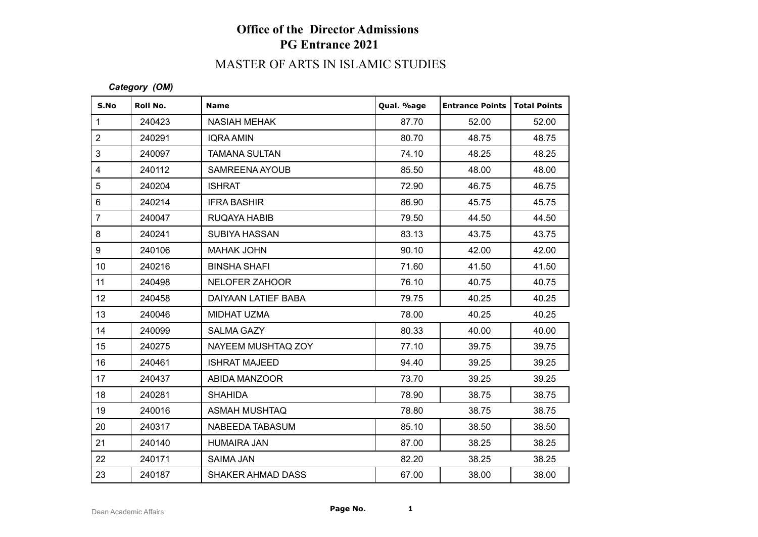# **Office of the Director Admissions PG Entrance 2021**

# MASTER OF ARTS IN ISLAMIC STUDIES

#### *Category (OM)*

| S.No            | Roll No. | <b>Name</b>              | Qual. %age | <b>Entrance Points</b> | Total Points |
|-----------------|----------|--------------------------|------------|------------------------|--------------|
| $\mathbf{1}$    | 240423   | NASIAH MEHAK             | 87.70      | 52.00                  | 52.00        |
| $\overline{2}$  | 240291   | <b>IQRA AMIN</b>         | 80.70      | 48.75                  | 48.75        |
| 3               | 240097   | <b>TAMANA SULTAN</b>     | 74.10      | 48.25                  | 48.25        |
| $\overline{4}$  | 240112   | SAMREENA AYOUB           | 85.50      | 48.00                  | 48.00        |
| 5               | 240204   | <b>ISHRAT</b>            | 72.90      | 46.75                  | 46.75        |
| $\,6\,$         | 240214   | <b>IFRA BASHIR</b>       | 86.90      | 45.75                  | 45.75        |
| $\overline{7}$  | 240047   | RUQAYA HABIB             | 79.50      | 44.50                  | 44.50        |
| 8               | 240241   | <b>SUBIYA HASSAN</b>     | 83.13      | 43.75                  | 43.75        |
| 9               | 240106   | <b>MAHAK JOHN</b>        | 90.10      | 42.00                  | 42.00        |
| 10 <sup>1</sup> | 240216   | <b>BINSHA SHAFI</b>      | 71.60      | 41.50                  | 41.50        |
| 11              | 240498   | NELOFER ZAHOOR           | 76.10      | 40.75                  | 40.75        |
| 12 <sub>2</sub> | 240458   | DAIYAAN LATIEF BABA      | 79.75      | 40.25                  | 40.25        |
| 13              | 240046   | MIDHAT UZMA              | 78.00      | 40.25                  | 40.25        |
| 14              | 240099   | <b>SALMA GAZY</b>        | 80.33      | 40.00                  | 40.00        |
| 15              | 240275   | NAYEEM MUSHTAQ ZOY       | 77.10      | 39.75                  | 39.75        |
| 16              | 240461   | <b>ISHRAT MAJEED</b>     | 94.40      | 39.25                  | 39.25        |
| 17              | 240437   | ABIDA MANZOOR            | 73.70      | 39.25                  | 39.25        |
| 18              | 240281   | <b>SHAHIDA</b>           | 78.90      | 38.75                  | 38.75        |
| 19              | 240016   | <b>ASMAH MUSHTAQ</b>     | 78.80      | 38.75                  | 38.75        |
| 20              | 240317   | NABEEDA TABASUM          | 85.10      | 38.50                  | 38.50        |
| 21              | 240140   | <b>HUMAIRA JAN</b>       | 87.00      | 38.25                  | 38.25        |
| 22              | 240171   | <b>SAIMA JAN</b>         | 82.20      | 38.25                  | 38.25        |
| 23              | 240187   | <b>SHAKER AHMAD DASS</b> | 67.00      | 38.00                  | 38.00        |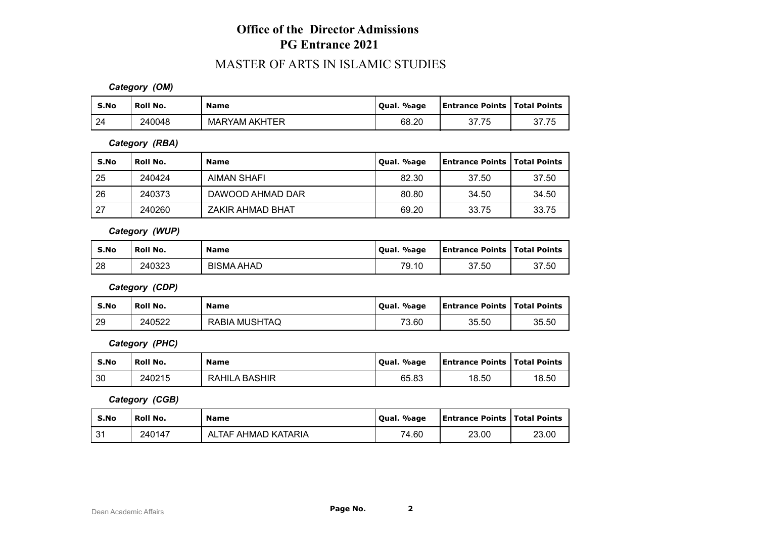### **Office of the Director Admissions PG Entrance 2021**

### MASTER OF ARTS IN ISLAMIC STUDIES

*Category (OM)*

| S.No | Roll No. | <b>Name</b>          | Qual. %age | <b>Entrance Points   Total Points</b> |       |
|------|----------|----------------------|------------|---------------------------------------|-------|
| 24   | 240048   | <b>MARYAM AKHTER</b> | 68.20      | 37.75                                 | 37.75 |

*Category (RBA)*

| S.No | ' Roll No. | <b>Name</b>        | Qual. %age | <b>Entrance Points   Total Points</b> |       |
|------|------------|--------------------|------------|---------------------------------------|-------|
| 25   | 240424     | <b>AIMAN SHAFI</b> | 82.30      | 37.50                                 | 37.50 |
| 26   | 240373     | DAWOOD AHMAD DAR   | 80.80      | 34.50                                 | 34.50 |
| 27   | 240260     | ZAKIR AHMAD BHAT   | 69.20      | 33.75                                 | 33.75 |

*Category (WUP)*

| S.No | Roll No. | <b>Name</b>       | Qual. %age | <b>Entrance Points   Total Points</b> |       |
|------|----------|-------------------|------------|---------------------------------------|-------|
| 28   | 240323   | <b>BISMA AHAD</b> | 79.10      | 37.50                                 | 37.50 |

*Category (CDP)*

| S.No | ' Roll No. | <b>Name</b>          | . %age<br>Oual. | <b>Entrance Points   Total Points</b> |       |
|------|------------|----------------------|-----------------|---------------------------------------|-------|
| 29   | 240522     | <b>RABIA MUSHTAQ</b> | 73.60           | 35.50                                 | 35.50 |

*Category (PHC)*

| S.No | ' Roll No. | <b>Name</b>          | Oual. %age | <b>Entrance Points   Total Points</b> |       |
|------|------------|----------------------|------------|---------------------------------------|-------|
| 30   | 240215     | <b>RAHILA BASHIR</b> | 65.83      | 18.50                                 | 18.50 |

*Category (CGB)*

| S.No            | Roll No. | <b>Name</b>         | Oual. %age | <b>Entrance Points   Total Points</b> |       |
|-----------------|----------|---------------------|------------|---------------------------------------|-------|
| $^{\circ}$<br>ັ | 240147   | ALTAF AHMAD KATARIA | 74.60      | 23.00                                 | 23.00 |